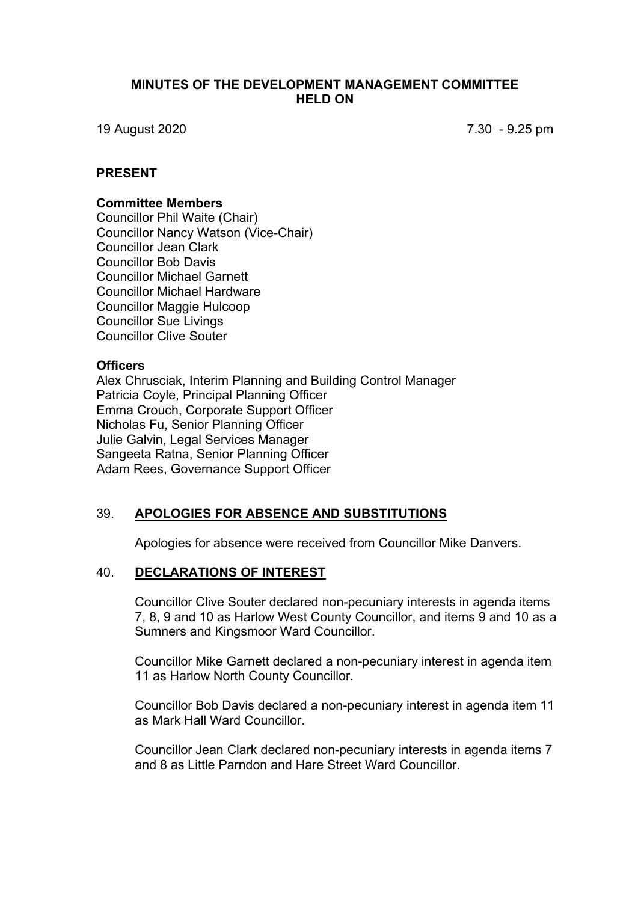#### **MINUTES OF THE DEVELOPMENT MANAGEMENT COMMITTEE HELD ON**

19 August 2020 7.30 - 9.25 pm

#### **PRESENT**

#### **Committee Members**

Councillor Phil Waite (Chair) Councillor Nancy Watson (Vice-Chair) Councillor Jean Clark Councillor Bob Davis Councillor Michael Garnett Councillor Michael Hardware Councillor Maggie Hulcoop Councillor Sue Livings Councillor Clive Souter

#### **Officers**

Alex Chrusciak, Interim Planning and Building Control Manager Patricia Coyle, Principal Planning Officer Emma Crouch, Corporate Support Officer Nicholas Fu, Senior Planning Officer Julie Galvin, Legal Services Manager Sangeeta Ratna, Senior Planning Officer Adam Rees, Governance Support Officer

### 39. **APOLOGIES FOR ABSENCE AND SUBSTITUTIONS**

Apologies for absence were received from Councillor Mike Danvers.

#### 40. **DECLARATIONS OF INTEREST**

Councillor Clive Souter declared non-pecuniary interests in agenda items 7, 8, 9 and 10 as Harlow West County Councillor, and items 9 and 10 as a Sumners and Kingsmoor Ward Councillor.

Councillor Mike Garnett declared a non-pecuniary interest in agenda item 11 as Harlow North County Councillor.

Councillor Bob Davis declared a non-pecuniary interest in agenda item 11 as Mark Hall Ward Councillor.

Councillor Jean Clark declared non-pecuniary interests in agenda items 7 and 8 as Little Parndon and Hare Street Ward Councillor.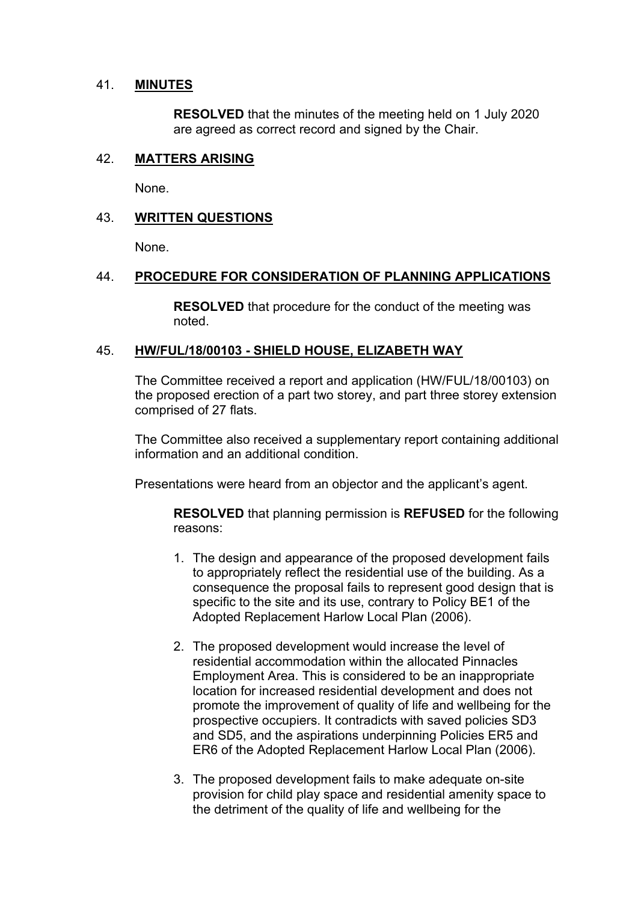### 41. **MINUTES**

**RESOLVED** that the minutes of the meeting held on 1 July 2020 are agreed as correct record and signed by the Chair.

## 42. **MATTERS ARISING**

None.

## 43. **WRITTEN QUESTIONS**

None.

### 44. **PROCEDURE FOR CONSIDERATION OF PLANNING APPLICATIONS**

**RESOLVED** that procedure for the conduct of the meeting was noted.

### 45. **HW/FUL/18/00103 - SHIELD HOUSE, ELIZABETH WAY**

The Committee received a report and application (HW/FUL/18/00103) on the proposed erection of a part two storey, and part three storey extension comprised of 27 flats.

The Committee also received a supplementary report containing additional information and an additional condition.

Presentations were heard from an objector and the applicant's agent.

**RESOLVED** that planning permission is **REFUSED** for the following reasons:

- 1. The design and appearance of the proposed development fails to appropriately reflect the residential use of the building. As a consequence the proposal fails to represent good design that is specific to the site and its use, contrary to Policy BE1 of the Adopted Replacement Harlow Local Plan (2006).
- 2. The proposed development would increase the level of residential accommodation within the allocated Pinnacles Employment Area. This is considered to be an inappropriate location for increased residential development and does not promote the improvement of quality of life and wellbeing for the prospective occupiers. It contradicts with saved policies SD3 and SD5, and the aspirations underpinning Policies ER5 and ER6 of the Adopted Replacement Harlow Local Plan (2006).
- 3. The proposed development fails to make adequate on-site provision for child play space and residential amenity space to the detriment of the quality of life and wellbeing for the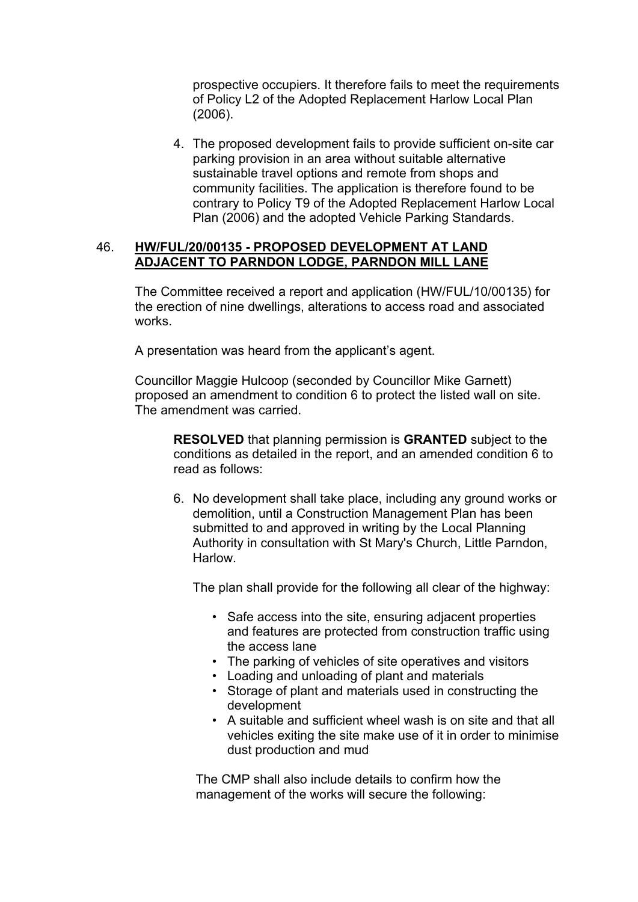prospective occupiers. It therefore fails to meet the requirements of Policy L2 of the Adopted Replacement Harlow Local Plan (2006).

4. The proposed development fails to provide sufficient on-site car parking provision in an area without suitable alternative sustainable travel options and remote from shops and community facilities. The application is therefore found to be contrary to Policy T9 of the Adopted Replacement Harlow Local Plan (2006) and the adopted Vehicle Parking Standards.

#### 46. **HW/FUL/20/00135 - PROPOSED DEVELOPMENT AT LAND ADJACENT TO PARNDON LODGE, PARNDON MILL LANE**

The Committee received a report and application (HW/FUL/10/00135) for the erection of nine dwellings, alterations to access road and associated works.

A presentation was heard from the applicant's agent.

Councillor Maggie Hulcoop (seconded by Councillor Mike Garnett) proposed an amendment to condition 6 to protect the listed wall on site. The amendment was carried.

**RESOLVED** that planning permission is **GRANTED** subject to the conditions as detailed in the report, and an amended condition 6 to read as follows:

6. No development shall take place, including any ground works or demolition, until a Construction Management Plan has been submitted to and approved in writing by the Local Planning Authority in consultation with St Mary's Church, Little Parndon, Harlow.

The plan shall provide for the following all clear of the highway:

- Safe access into the site, ensuring adjacent properties and features are protected from construction traffic using the access lane
- The parking of vehicles of site operatives and visitors
- Loading and unloading of plant and materials
- Storage of plant and materials used in constructing the development
- A suitable and sufficient wheel wash is on site and that all vehicles exiting the site make use of it in order to minimise dust production and mud

The CMP shall also include details to confirm how the management of the works will secure the following: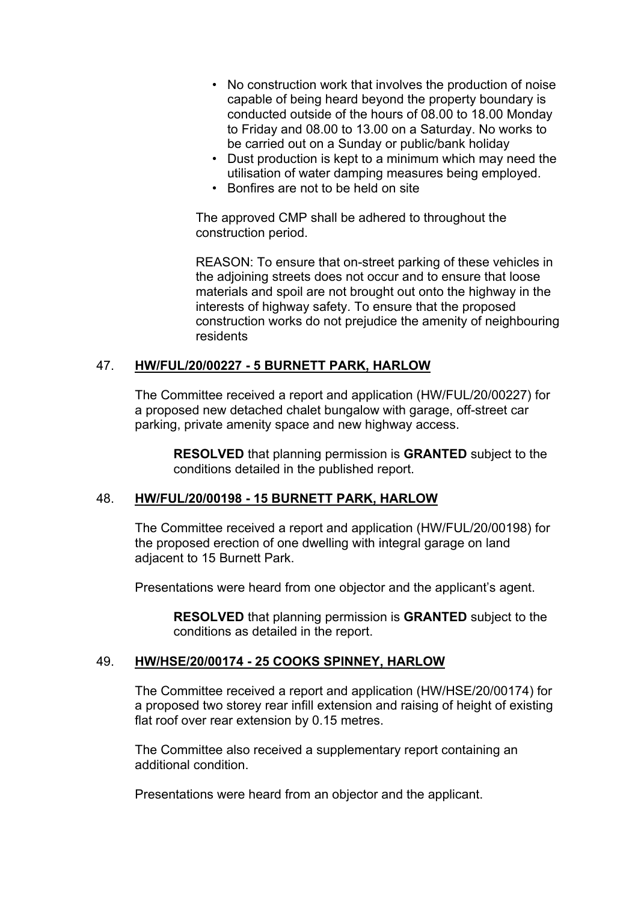- No construction work that involves the production of noise capable of being heard beyond the property boundary is conducted outside of the hours of 08.00 to 18.00 Monday to Friday and 08.00 to 13.00 on a Saturday. No works to be carried out on a Sunday or public/bank holiday
- Dust production is kept to a minimum which may need the utilisation of water damping measures being employed.
- Bonfires are not to be held on site

The approved CMP shall be adhered to throughout the construction period.

REASON: To ensure that on-street parking of these vehicles in the adjoining streets does not occur and to ensure that loose materials and spoil are not brought out onto the highway in the interests of highway safety. To ensure that the proposed construction works do not prejudice the amenity of neighbouring residents

### 47. **HW/FUL/20/00227 - 5 BURNETT PARK, HARLOW**

The Committee received a report and application (HW/FUL/20/00227) for a proposed new detached chalet bungalow with garage, off-street car parking, private amenity space and new highway access.

**RESOLVED** that planning permission is **GRANTED** subject to the conditions detailed in the published report.

#### 48. **HW/FUL/20/00198 - 15 BURNETT PARK, HARLOW**

The Committee received a report and application (HW/FUL/20/00198) for the proposed erection of one dwelling with integral garage on land adjacent to 15 Burnett Park.

Presentations were heard from one objector and the applicant's agent.

**RESOLVED** that planning permission is **GRANTED** subject to the conditions as detailed in the report.

### 49. **HW/HSE/20/00174 - 25 COOKS SPINNEY, HARLOW**

The Committee received a report and application (HW/HSE/20/00174) for a proposed two storey rear infill extension and raising of height of existing flat roof over rear extension by 0.15 metres.

The Committee also received a supplementary report containing an additional condition.

Presentations were heard from an objector and the applicant.